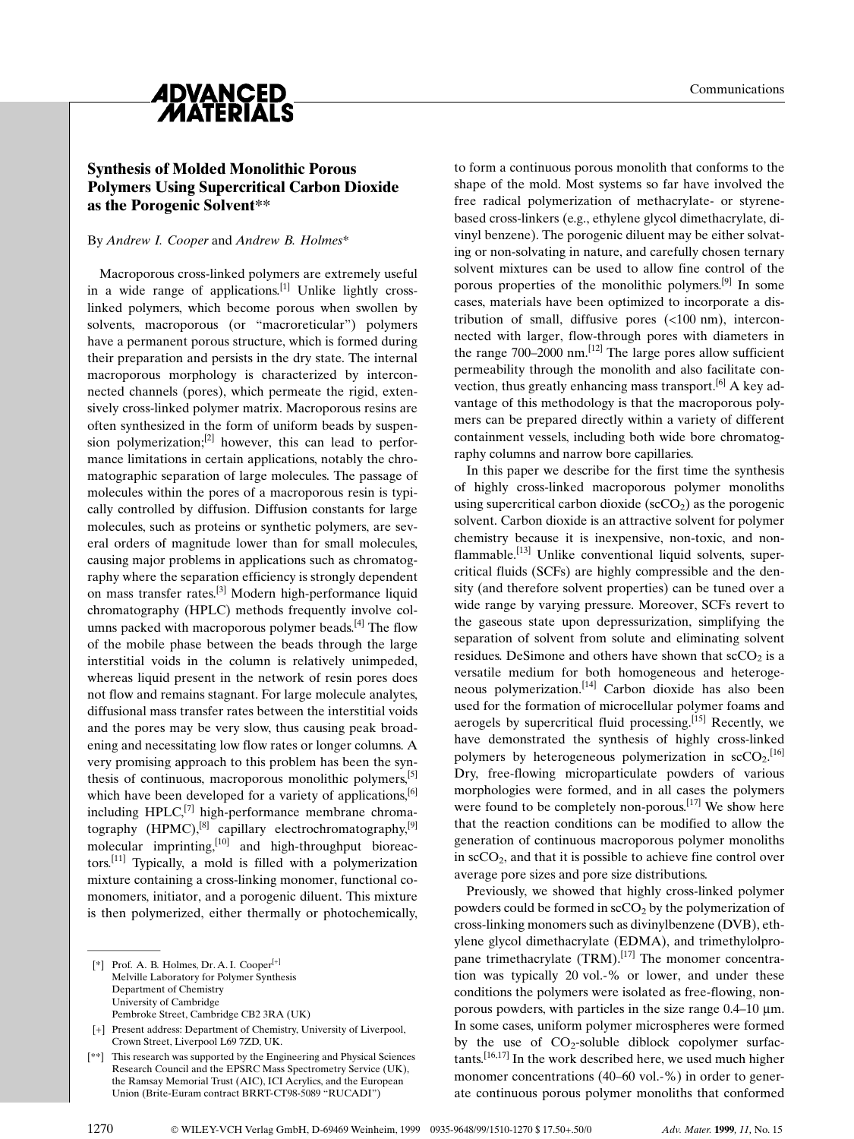

## Synthesis of Molded Monolithic Porous Polymers Using Supercritical Carbon Dioxide as the Porogenic Solvent\*\*

#### By Andrew I. Cooper and Andrew B. Holmes\*

Macroporous cross-linked polymers are extremely useful in a wide range of applications.<sup>[1]</sup> Unlike lightly crosslinked polymers, which become porous when swollen by solvents, macroporous (or "macroreticular") polymers have a permanent porous structure, which is formed during their preparation and persists in the dry state. The internal macroporous morphology is characterized by interconnected channels (pores), which permeate the rigid, extensively cross-linked polymer matrix. Macroporous resins are often synthesized in the form of uniform beads by suspension polymerization; $^{[2]}$  however, this can lead to performance limitations in certain applications, notably the chromatographic separation of large molecules. The passage of molecules within the pores of a macroporous resin is typically controlled by diffusion. Diffusion constants for large molecules, such as proteins or synthetic polymers, are several orders of magnitude lower than for small molecules, causing major problems in applications such as chromatography where the separation efficiency is strongly dependent on mass transfer rates.[3] Modern high-performance liquid chromatography (HPLC) methods frequently involve columns packed with macroporous polymer beads.<sup>[4]</sup> The flow of the mobile phase between the beads through the large interstitial voids in the column is relatively unimpeded, whereas liquid present in the network of resin pores does not flow and remains stagnant. For large molecule analytes, diffusional mass transfer rates between the interstitial voids and the pores may be very slow, thus causing peak broadening and necessitating low flow rates or longer columns. A very promising approach to this problem has been the synthesis of continuous, macroporous monolithic polymers,  $[5]$ which have been developed for a variety of applications,<sup>[6]</sup> including  $HPLC<sub>i</sub><sup>[7]</sup>$  high-performance membrane chromatography (HPMC),<sup>[8]</sup> capillary electrochromatography,<sup>[9]</sup> molecular imprinting, $[10]$  and high-throughput bioreactors.<sup>[11]</sup> Typically, a mold is filled with a polymerization mixture containing a cross-linking monomer, functional comonomers, initiator, and a porogenic diluent. This mixture is then polymerized, either thermally or photochemically, molecular II<br>tors.<sup>[11]</sup> Typic<br>mixture conta<br>monomers, ir<br>is then polyr<br><sup>[\*]</sup> Prof. A. B.<br>Melville La

 $[$ <sup>\*</sup>] Prof. A. B. Holmes, Dr. A. I. Cooper $[$ <sup>+1</sup> Melville Laboratory for Polymer Synthesis Department of Chemistry University of Cambridge Pembroke Street, Cambridge CB2 3RA (UK)

[+] Present address: Department of Chemistry, University of Liverpool, Crown Street, Liverpool L69 7ZD, UK.

[\*\*] This research was supported by the Engineering and Physical Sciences Research Council and the EPSRC Mass Spectrometry Service (UK), the Ramsay Memorial Trust (AIC), ICI Acrylics, and the European Union (Brite-Euram contract BRRT-CT98-5089 ªRUCADIº)

to form a continuous porous monolith that conforms to the shape of the mold. Most systems so far have involved the free radical polymerization of methacrylate- or styrenebased cross-linkers (e.g., ethylene glycol dimethacrylate, divinyl benzene). The porogenic diluent may be either solvating or non-solvating in nature, and carefully chosen ternary solvent mixtures can be used to allow fine control of the porous properties of the monolithic polymers.<sup>[9]</sup> In some cases, materials have been optimized to incorporate a distribution of small, diffusive pores (<100 nm), interconnected with larger, flow-through pores with diameters in the range  $700-2000$  nm.<sup>[12]</sup> The large pores allow sufficient permeability through the monolith and also facilitate convection, thus greatly enhancing mass transport.<sup>[6]</sup> A key advantage of this methodology is that the macroporous polymers can be prepared directly within a variety of different containment vessels, including both wide bore chromatography columns and narrow bore capillaries.

In this paper we describe for the first time the synthesis of highly cross-linked macroporous polymer monoliths using supercritical carbon dioxide ( $\sec O_2$ ) as the porogenic solvent. Carbon dioxide is an attractive solvent for polymer chemistry because it is inexpensive, non-toxic, and non $f$ lammable.<sup>[13]</sup> Unlike conventional liquid solvents, supercritical fluids (SCFs) are highly compressible and the density (and therefore solvent properties) can be tuned over a wide range by varying pressure. Moreover, SCFs revert to the gaseous state upon depressurization, simplifying the separation of solvent from solute and eliminating solvent residues. DeSimone and others have shown that  $\sec O_2$  is a versatile medium for both homogeneous and heterogeneous polymerization.<sup>[14]</sup> Carbon dioxide has also been used for the formation of microcellular polymer foams and aerogels by supercritical fluid processing.<sup>[15]</sup> Recently, we have demonstrated the synthesis of highly cross-linked polymers by heterogeneous polymerization in  $\sec_2$ .<sup>[16]</sup> Dry, free-flowing microparticulate powders of various morphologies were formed, and in all cases the polymers were found to be completely non-porous.<sup>[17]</sup> We show here that the reaction conditions can be modified to allow the generation of continuous macroporous polymer monoliths in  $\sec O_2$ , and that it is possible to achieve fine control over average pore sizes and pore size distributions.

Previously, we showed that highly cross-linked polymer powders could be formed in  $\sec O_2$  by the polymerization of cross-linking monomers such as divinylbenzene (DVB), ethylene glycol dimethacrylate (EDMA), and trimethylolpropane trimethacrylate (TRM).<sup>[17]</sup> The monomer concentration was typically 20 vol.-% or lower, and under these conditions the polymers were isolated as free-flowing, nonporous powders, with particles in the size range  $0.4-10 \mu m$ . In some cases, uniform polymer microspheres were formed by the use of  $CO_2$ -soluble diblock copolymer surfac $tants.$ <sup>[16,17]</sup> In the work described here, we used much higher monomer concentrations  $(40-60 \text{ vol.} -\%)$  in order to generate continuous porous polymer monoliths that conformed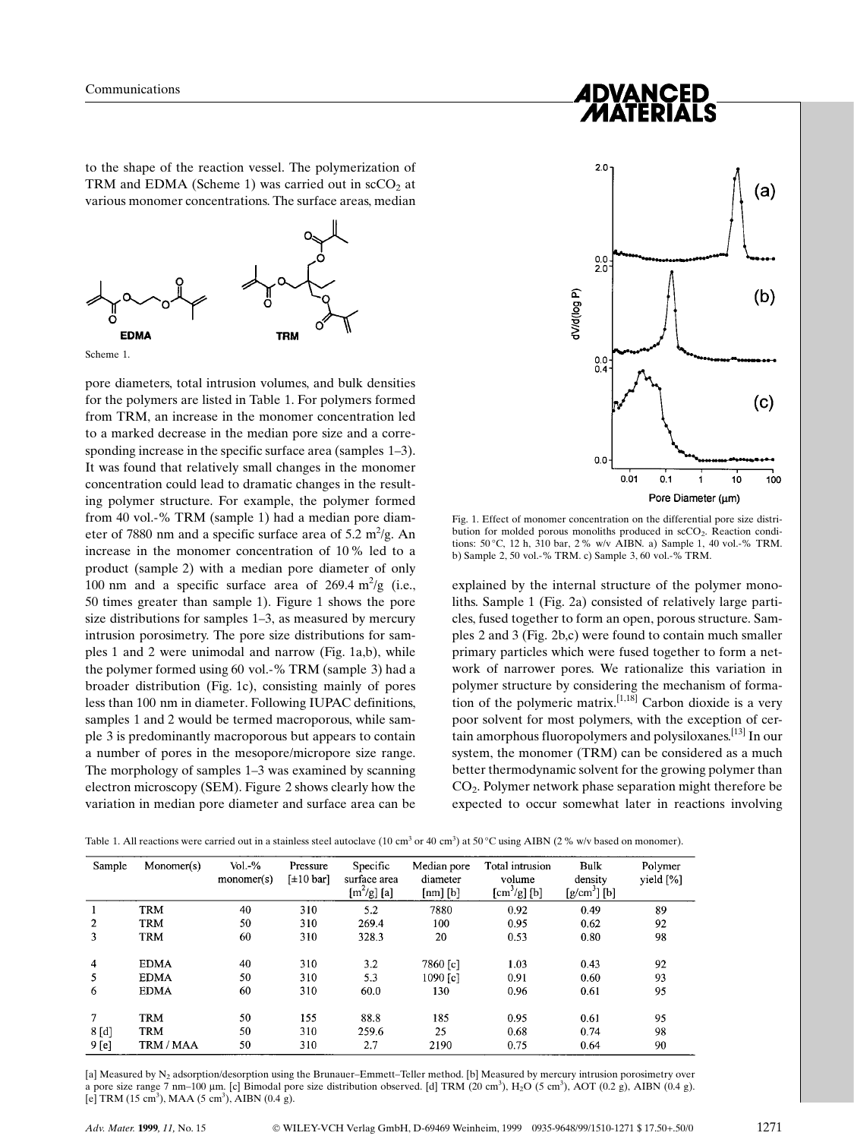to the shape of the reaction vessel. The polymerization of TRM and EDMA (Scheme 1) was carried out in  $\mathrm{scCO}_{2}$  at various monomer concentrations. The surface areas, median



Scheme 1.

pore diameters, total intrusion volumes, and bulk densities for the polymers are listed in Table 1. For polymers formed from TRM, an increase in the monomer concentration led to a marked decrease in the median pore size and a corresponding increase in the specific surface area (samples  $1-3$ ). It was found that relatively small changes in the monomer concentration could lead to dramatic changes in the resulting polymer structure. For example, the polymer formed from 40 vol.-% TRM (sample 1) had a median pore diameter of 7880 nm and a specific surface area of  $5.2 \text{ m}^2/\text{g}$ . An increase in the monomer concentration of 10% led to a product (sample 2) with a median pore diameter of only 100 nm and a specific surface area of  $269.4 \text{ m}^2/\text{g}$  (i.e., 50 times greater than sample 1). Figure 1 shows the pore size distributions for samples  $1-3$ , as measured by mercury intrusion porosimetry. The pore size distributions for samples 1 and 2 were unimodal and narrow (Fig. 1a,b), while the polymer formed using 60 vol.-% TRM (sample 3) had a broader distribution (Fig. 1c), consisting mainly of pores less than 100 nm in diameter. Following IUPAC definitions, samples 1 and 2 would be termed macroporous, while sample 3 is predominantly macroporous but appears to contain a number of pores in the mesopore/micropore size range. The morphology of samples 1–3 was examined by scanning electron microscopy (SEM). Figure 2 shows clearly how the variation in median pore diameter and surface area can be



Fig. 1. Effect of monomer concentration on the differential pore size distribution for molded porous monoliths produced in  $\sec O_2$ . Reaction conditions: 50 C, 12 h, 310 bar, 2 % w/v AIBN. a) Sample 1, 40 vol.-% TRM. b) Sample 2, 50 vol.-% TRM. c) Sample 3, 60 vol.-% TRM.

explained by the internal structure of the polymer monoliths. Sample 1 (Fig. 2a) consisted of relatively large particles, fused together to form an open, porous structure. Samples 2 and 3 (Fig. 2b,c) were found to contain much smaller primary particles which were fused together to form a network of narrower pores. We rationalize this variation in polymer structure by considering the mechanism of formation of the polymeric matrix.  $[1,18]$  Carbon dioxide is a very poor solvent for most polymers, with the exception of certain amorphous fluoropolymers and polysiloxanes.[13] In our system, the monomer (TRM) can be considered as a much better thermodynamic solvent for the growing polymer than CO2. Polymer network phase separation might therefore be expected to occur somewhat later in reactions involving

Table 1. All reactions were carried out in a stainless steel autoclave (10 cm<sup>3</sup> or 40 cm<sup>3</sup>) at 50 °C using AIBN (2 % w/v based on monomer).

| Sample         | Monomer(s)  | $Vol.-%$<br>monomer(s) | Pressure<br>$[\pm 10$ barl | Specific<br>surface area<br>$[m^2/g]$ [a] | Median pore<br>diameter<br>$[nm]$ $[b]$ | Total intrusion<br>volume<br>$[cm^3/g]$ [b] | Bulk<br>density<br>$[g/cm^3]$ [b] | Polymer<br>yield [%] |
|----------------|-------------|------------------------|----------------------------|-------------------------------------------|-----------------------------------------|---------------------------------------------|-----------------------------------|----------------------|
| 1              | <b>TRM</b>  | 40                     | 310                        | 5.2                                       | 7880                                    | 0.92                                        | 0.49                              | 89                   |
| $\overline{2}$ | <b>TRM</b>  | 50                     | 310                        | 269.4                                     | 100                                     | 0.95                                        | 0.62                              | 92                   |
| 3              | <b>TRM</b>  | 60                     | 310                        | 328.3                                     | 20                                      | 0.53                                        | 0.80                              | 98                   |
| $\overline{4}$ | <b>EDMA</b> | 40                     | 310                        | 3.2                                       | 7860 [c]                                | 1.03                                        | 0.43                              | 92                   |
| 5              | <b>EDMA</b> | 50                     | 310                        | 5.3                                       | 1090 fcl                                | 0.91                                        | 0.60                              | 93                   |
| 6              | <b>EDMA</b> | 60                     | 310                        | 60.0                                      | 130                                     | 0.96                                        | 0.61                              | 95                   |
| $\tau$         | <b>TRM</b>  | 50                     | 155                        | 88.8                                      | 185                                     | 0.95                                        | 0.61                              | 95                   |
| $8 \,[d]$      | TRM         | 50                     | 310                        | 259.6                                     | 25                                      | 0.68                                        | 0.74                              | 98                   |
| 9 [e]          | TRM / MAA   | 50                     | 310                        | 2.7                                       | 2190                                    | 0.75                                        | 0.64                              | 90                   |

[a] Measured by N<sub>2</sub> adsorption/desorption using the Brunauer-Emmett-Teller method. [b] Measured by mercury intrusion porosimetry over a pore size range 7 nm-100 µm. [c] Bimodal pore size distribution observed. [d] TRM (20 cm<sup>3</sup>), H<sub>2</sub>O (5 cm<sup>3</sup>), AOT (0.2 g), AIBN (0.4 g). [e] TRM  $(15 \text{ cm}^3)$ , MAA  $(5 \text{ cm}^3)$ , AIBN  $(0.4 \text{ g})$ .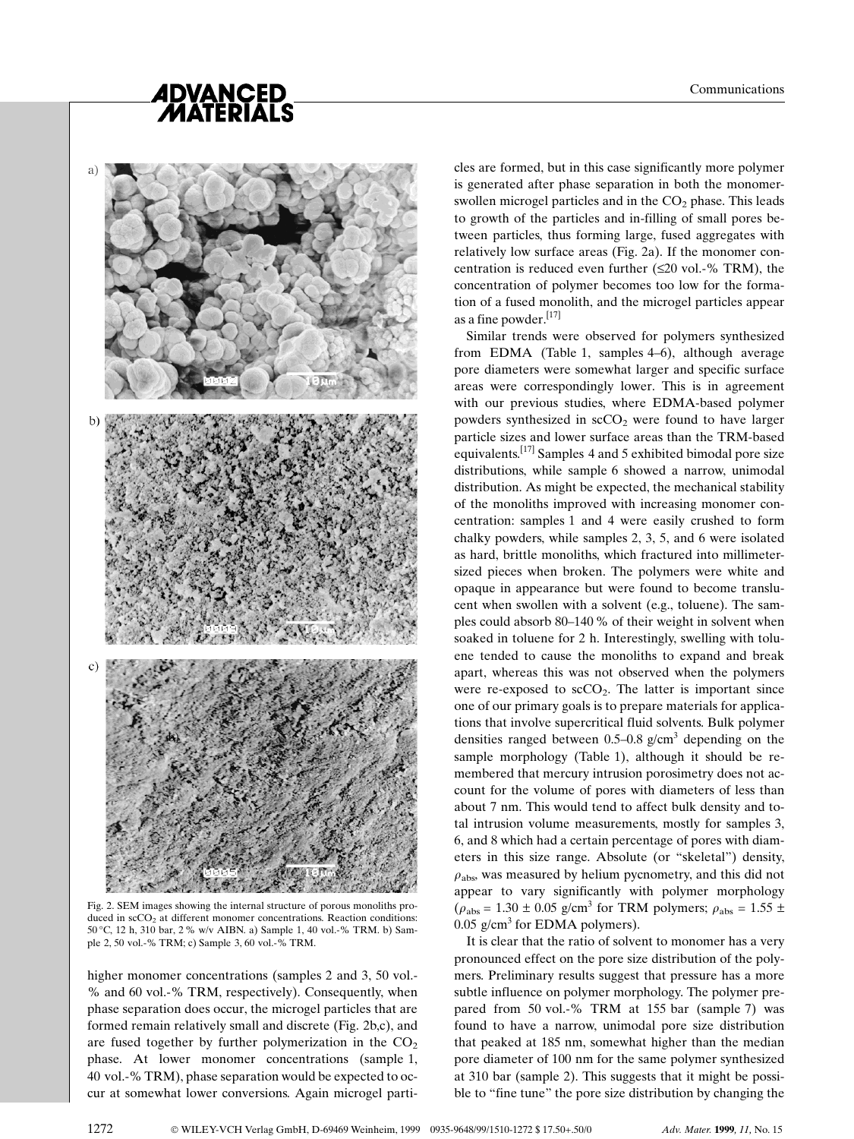# *ADVANCED<br>MATERIALS*



Fig. 2. SEM images showing the internal structure of porous monoliths produced in  $\secO_2$  at different monomer concentrations. Reaction conditions: 50 C, 12 h, 310 bar, 2 % w/v AIBN. a) Sample 1, 40 vol.-% TRM. b) Sample 2, 50 vol.-% TRM; c) Sample 3, 60 vol.-% TRM.

higher monomer concentrations (samples 2 and 3, 50 vol.-% and 60 vol.-% TRM, respectively). Consequently, when phase separation does occur, the microgel particles that are formed remain relatively small and discrete (Fig. 2b,c), and are fused together by further polymerization in the  $CO<sub>2</sub>$ phase. At lower monomer concentrations (sample 1, 40 vol.-% TRM), phase separation would be expected to occur at somewhat lower conversions. Again microgel particles are formed, but in this case significantly more polymer is generated after phase separation in both the monomerswollen microgel particles and in the  $CO<sub>2</sub>$  phase. This leads to growth of the particles and in-filling of small pores between particles, thus forming large, fused aggregates with relatively low surface areas (Fig. 2a). If the monomer concentration is reduced even further  $(\leq 20 \text{ vol.} -\% \text{ TRM})$ , the concentration of polymer becomes too low for the formation of a fused monolith, and the microgel particles appear as a fine powder.<sup>[17]</sup>

Similar trends were observed for polymers synthesized from EDMA (Table 1, samples  $4-6$ ), although average pore diameters were somewhat larger and specific surface areas were correspondingly lower. This is in agreement with our previous studies, where EDMA-based polymer powders synthesized in  $\sec O_2$  were found to have larger particle sizes and lower surface areas than the TRM-based equivalents.<sup>[17]</sup> Samples 4 and 5 exhibited bimodal pore size distributions, while sample 6 showed a narrow, unimodal distribution. As might be expected, the mechanical stability of the monoliths improved with increasing monomer concentration: samples 1 and 4 were easily crushed to form chalky powders, while samples 2, 3, 5, and 6 were isolated as hard, brittle monoliths, which fractured into millimetersized pieces when broken. The polymers were white and opaque in appearance but were found to become translucent when swollen with a solvent (e.g., toluene). The samples could absorb 80–140 % of their weight in solvent when soaked in toluene for 2 h. Interestingly, swelling with toluene tended to cause the monoliths to expand and break apart, whereas this was not observed when the polymers were re-exposed to  $\sec O_2$ . The latter is important since one of our primary goals is to prepare materials for applications that involve supercritical fluid solvents. Bulk polymer densities ranged between 0.5–0.8  $g/cm<sup>3</sup>$  depending on the sample morphology (Table 1), although it should be remembered that mercury intrusion porosimetry does not account for the volume of pores with diameters of less than about 7 nm. This would tend to affect bulk density and total intrusion volume measurements, mostly for samples 3, 6, and 8 which had a certain percentage of pores with diameters in this size range. Absolute (or ªskeletalº) density,  $\rho_{\rm abs}$  was measured by helium pycnometry, and this did not appear to vary significantly with polymer morphology ( $\rho_{\text{abs}} = 1.30 \pm 0.05$  g/cm<sup>3</sup> for TRM polymers;  $\rho_{\text{abs}} = 1.55 \pm 1.55$  $0.05$  g/cm<sup>3</sup> for EDMA polymers).

It is clear that the ratio of solvent to monomer has a very pronounced effect on the pore size distribution of the polymers. Preliminary results suggest that pressure has a more subtle influence on polymer morphology. The polymer prepared from 50 vol.-% TRM at 155 bar (sample 7) was found to have a narrow, unimodal pore size distribution that peaked at 185 nm, somewhat higher than the median pore diameter of 100 nm for the same polymer synthesized at 310 bar (sample 2). This suggests that it might be possible to "fine tune" the pore size distribution by changing the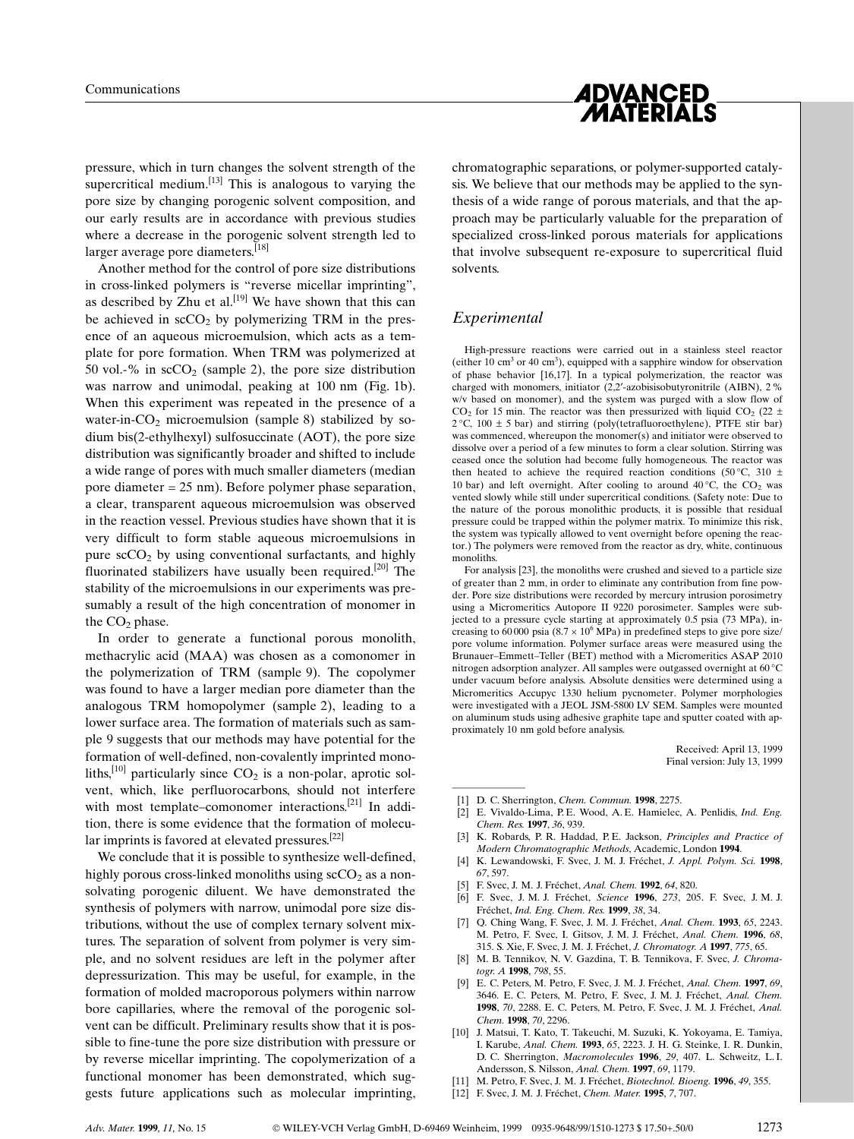

pressure, which in turn changes the solvent strength of the supercritical medium.<sup>[13]</sup> This is analogous to varying the pore size by changing porogenic solvent composition, and our early results are in accordance with previous studies where a decrease in the porogenic solvent strength led to larger average pore diameters.<sup>[18]</sup>

Another method for the control of pore size distributions in cross-linked polymers is "reverse micellar imprinting", as described by  $\overline{Z}$ hu et al.<sup>[19]</sup> We have shown that this can be achieved in  $\sec O_2$  by polymerizing TRM in the presence of an aqueous microemulsion, which acts as a template for pore formation. When TRM was polymerized at 50 vol.-% in  $\sec O_2$  (sample 2), the pore size distribution was narrow and unimodal, peaking at 100 nm (Fig. 1b). When this experiment was repeated in the presence of a water-in- $CO<sub>2</sub>$  microemulsion (sample 8) stabilized by sodium bis(2-ethylhexyl) sulfosuccinate (AOT), the pore size distribution was significantly broader and shifted to include a wide range of pores with much smaller diameters (median pore diameter = 25 nm). Before polymer phase separation, a clear, transparent aqueous microemulsion was observed in the reaction vessel. Previous studies have shown that it is very difficult to form stable aqueous microemulsions in pure  $\sec O_2$  by using conventional surfactants, and highly fluorinated stabilizers have usually been required.<sup>[20]</sup> The stability of the microemulsions in our experiments was presumably a result of the high concentration of monomer in the  $CO<sub>2</sub>$  phase.

In order to generate a functional porous monolith, methacrylic acid (MAA) was chosen as a comonomer in the polymerization of TRM (sample 9). The copolymer was found to have a larger median pore diameter than the analogous TRM homopolymer (sample 2), leading to a lower surface area. The formation of materials such as sample 9 suggests that our methods may have potential for the formation of well-defined, non-covalently imprinted monoliths,<sup>[10]</sup> particularly since  $CO<sub>2</sub>$  is a non-polar, aprotic solvent, which, like perfluorocarbons, should not interfere with most template-comonomer interactions.<sup>[21]</sup> In addition, there is some evidence that the formation of molecular imprints is favored at elevated pressures.[22]

We conclude that it is possible to synthesize well-defined, highly porous cross-linked monoliths using  $\mathrm{scCO}_{2}$  as a nonsolvating porogenic diluent. We have demonstrated the synthesis of polymers with narrow, unimodal pore size distributions, without the use of complex ternary solvent mixtures. The separation of solvent from polymer is very simple, and no solvent residues are left in the polymer after depressurization. This may be useful, for example, in the formation of molded macroporous polymers within narrow bore capillaries, where the removal of the porogenic solvent can be difficult. Preliminary results show that it is possible to fine-tune the pore size distribution with pressure or by reverse micellar imprinting. The copolymerization of a functional monomer has been demonstrated, which suggests future applications such as molecular imprinting,

chromatographic separations, or polymer-supported catalysis. We believe that our methods may be applied to the synthesis of a wide range of porous materials, and that the approach may be particularly valuable for the preparation of specialized cross-linked porous materials for applications that involve subsequent re-exposure to supercritical fluid solvents.

### Experimental

High-pressure reactions were carried out in a stainless steel reactor (either  $10 \text{ cm}^3$  or  $40 \text{ cm}^3$ ), equipped with a sapphire window for observation of phase behavior [16,17]. In a typical polymerization, the reactor was charged with monomers, initiator  $(2,2'$ -azobisisobutyronitrile (AIBN), 2 % w/v based on monomer), and the system was purged with a slow flow of  $CO<sub>2</sub>$  for 15 min. The reactor was then pressurized with liquid  $CO<sub>2</sub>$  (22 ±  $2^{\circ}$ C, 100  $\pm$  5 bar) and stirring (poly(tetrafluoroethylene), PTFE stir bar) was commenced, whereupon the monomer(s) and initiator were observed to dissolve over a period of a few minutes to form a clear solution. Stirring was ceased once the solution had become fully homogeneous. The reactor was then heated to achieve the required reaction conditions (50 °C, 310  $\pm$ 10 bar) and left overnight. After cooling to around  $40^{\circ}$ C, the CO<sub>2</sub> was vented slowly while still under supercritical conditions. (Safety note: Due to the nature of the porous monolithic products, it is possible that residual pressure could be trapped within the polymer matrix. To minimize this risk, the system was typically allowed to vent overnight before opening the reactor.) The polymers were removed from the reactor as dry, white, continuous monoliths.

For analysis [23], the monoliths were crushed and sieved to a particle size of greater than 2 mm, in order to eliminate any contribution from fine powder. Pore size distributions were recorded by mercury intrusion porosimetry using a Micromeritics Autopore II 9220 porosimeter. Samples were subjected to a pressure cycle starting at approximately 0.5 psia (73 MPa), increasing to  $60\,000$  psia  $(8.7 \times 10^6 \text{ MPa})$  in predefined steps to give pore size/ pore volume information. Polymer surface areas were measured using the Brunauer-Emmett-Teller (BET) method with a Micromeritics ASAP 2010 nitrogen adsorption analyzer. All samples were outgassed overnight at  $60^{\circ}$ C under vacuum before analysis. Absolute densities were determined using a Micromeritics Accupyc 1330 helium pycnometer. Polymer morphologies were investigated with a JEOL JSM-5800 LV SEM. Samples were mounted on aluminum studs using adhesive graphite tape and sputter coated with approximately 10 nm gold before analysis. much vacuum on<br>Micromeritics A<br>were investigated on aluminum sture<br>proximately 10 n<br>[2] E. Vivaldo<br>Chem Res

Received: April 13, 1999 Final version: July 13, 1999

- D. C. Sherrington, Chem. Commun. 1998, 2275.
- [2] E. Vivaldo-Lima, P.E. Wood, A.E. Hamielec, A. Penlidis, *Ind. Eng.* Chem. Res. 1997, 36, 939.
- [3] K. Robards, P. R. Haddad, P. E. Jackson, Principles and Practice of Modern Chromatographic Methods, Academic, London 1994.
- [4] K. Lewandowski, F. Svec, J. M. J. Fréchet, J. Appl. Polym. Sci. 1998, 67, 597.
- [5] F. Svec, J. M. J. Fréchet, Anal. Chem. 1992, 64, 820.
- [6] F. Svec, J. M. J. Fréchet, Science 1996, 273, 205. F. Svec, J. M. J. Fréchet, Ind. Eng. Chem. Res. 1999, 38, 34.
- [7] Q. Ching Wang, F. Svec, J. M. J. Fréchet, Anal. Chem. 1993, 65, 2243. M. Petro, F. Svec, J. Gitsov, J. M. J. Fréchet, Anal. Chem. 1996, 68, 315. S. Xie, F. Svec, J. M. J. Fréchet, J. Chromatogr. A 1997, 775, 65.
- [8] M. B. Tennikov, N. V. Gazdina, T. B. Tennikova, F. Svec, J. Chromatogr. A 1998, 798, 55.
- [9] E. C. Peters, M. Petro, F. Svec, J. M. J. Fréchet, Anal. Chem. 1997, 69, 3646. E. C. Peters, M. Petro, F. Svec, J. M. J. Fréchet, Anal. Chem. 1998, 70, 2288. E. C. Peters, M. Petro, F. Svec, J. M. J. Fréchet, Anal. Chem. 1998, 70, 2296.
- [10] J. Matsui, T. Kato, T. Takeuchi, M. Suzuki, K. Yokoyama, E. Tamiya, I. Karube, Anal. Chem. 1993, 65, 2223. J. H. G. Steinke, I. R. Dunkin, D. C. Sherrington, Macromolecules 1996, 29, 407. L. Schweitz, L. I. Andersson, S. Nilsson, Anal. Chem. 1997, 69, 1179.
- [11] M. Petro, F. Svec, J. M. J. Fréchet, Biotechnol. Bioeng. 1996, 49, 355.
- [12] F. Svec, J. M. J. Fréchet, Chem. Mater. 1995, 7, 707.